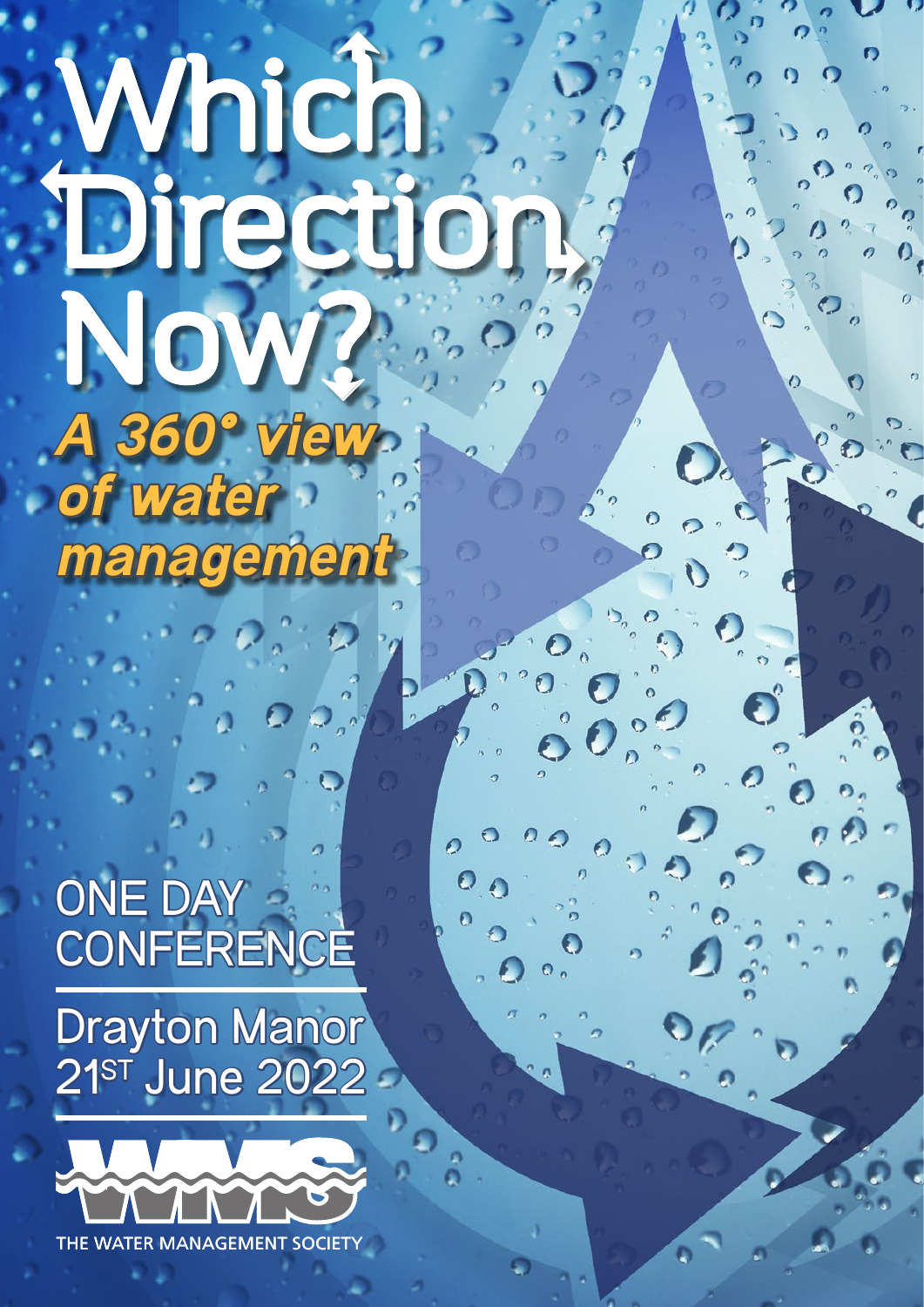# Which Direction, Now? f f *A 360° view of water management*

## ONE DAY **CONFERENCE**

Drayton Manor 21st June 2022

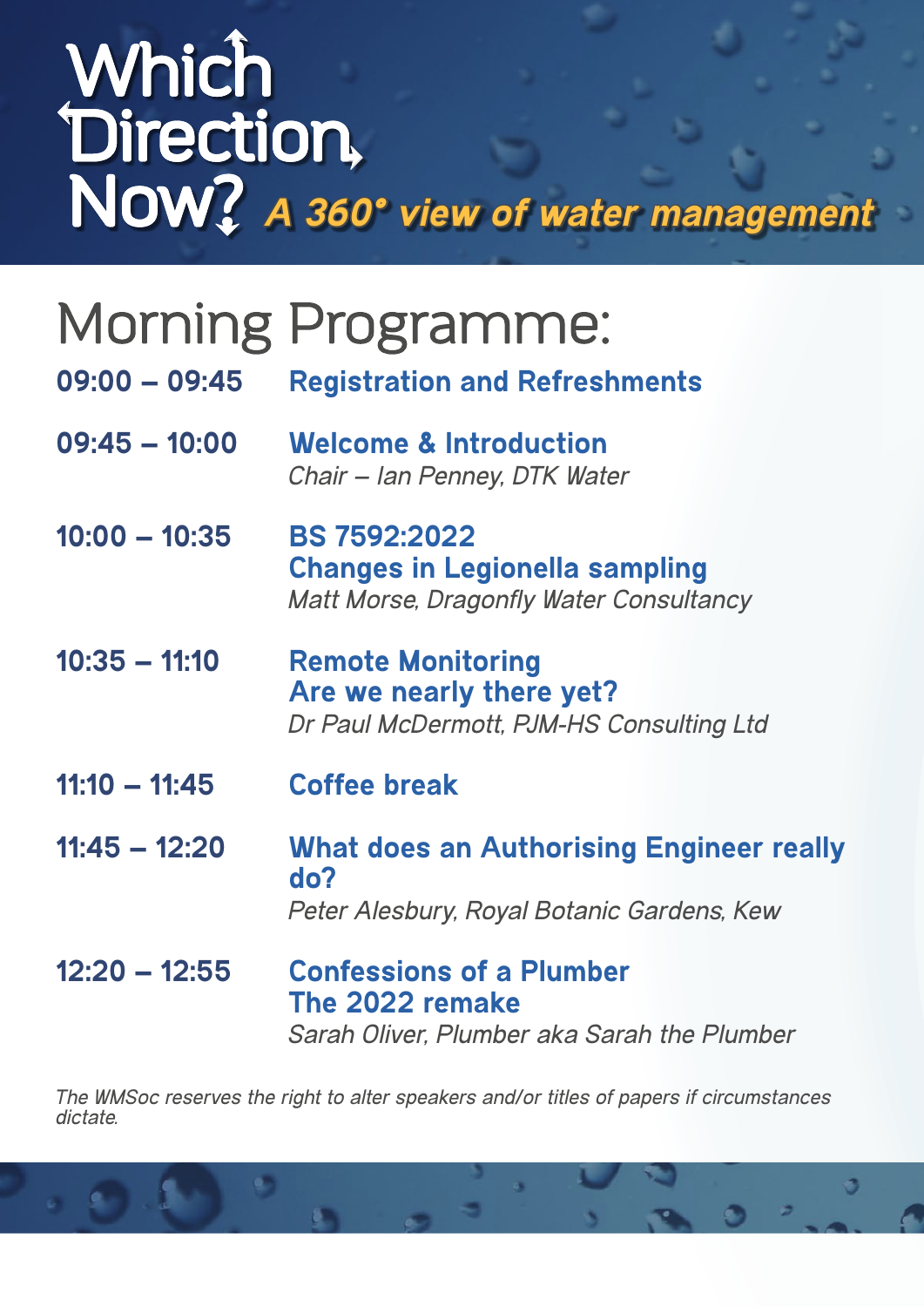#### Which Direction Now? f *A 360° view of water management* $\blacktriangle$  $\frac{1}{\sqrt{2}}$ f

|  | <b>Morning Programme:</b> |
|--|---------------------------|
|--|---------------------------|

| $09:00 - 09:45$ | <b>Registration and Refreshments</b>                                                                           |
|-----------------|----------------------------------------------------------------------------------------------------------------|
| $09:45 - 10:00$ | <b>Welcome &amp; Introduction</b><br>Chair – Ian Penney, DTK Water                                             |
| $10:00 - 10:35$ | <b>BS 7592:2022</b><br><b>Changes in Legionella sampling</b><br><b>Matt Morse, Dragonfly Water Consultancy</b> |
| $10:35 - 11:10$ | <b>Remote Monitoring</b><br>Are we nearly there yet?<br>Dr Paul McDermott, PJM-HS Consulting Ltd               |
| $11:10 - 11:45$ | <b>Coffee break</b>                                                                                            |
| $11:45 - 12:20$ | <b>What does an Authorising Engineer really</b><br>do?<br>Peter Alesbury, Royal Botanic Gardens, Kew           |
| $12:20 - 12:55$ | <b>Confessions of a Plumber</b><br>The 2022 remake<br>Sarah Oliver, Plumber aka Sarah the Plumber              |

*The WMSoc reserves the right to alter speakers and/or titles of papers if circumstances dictate.*

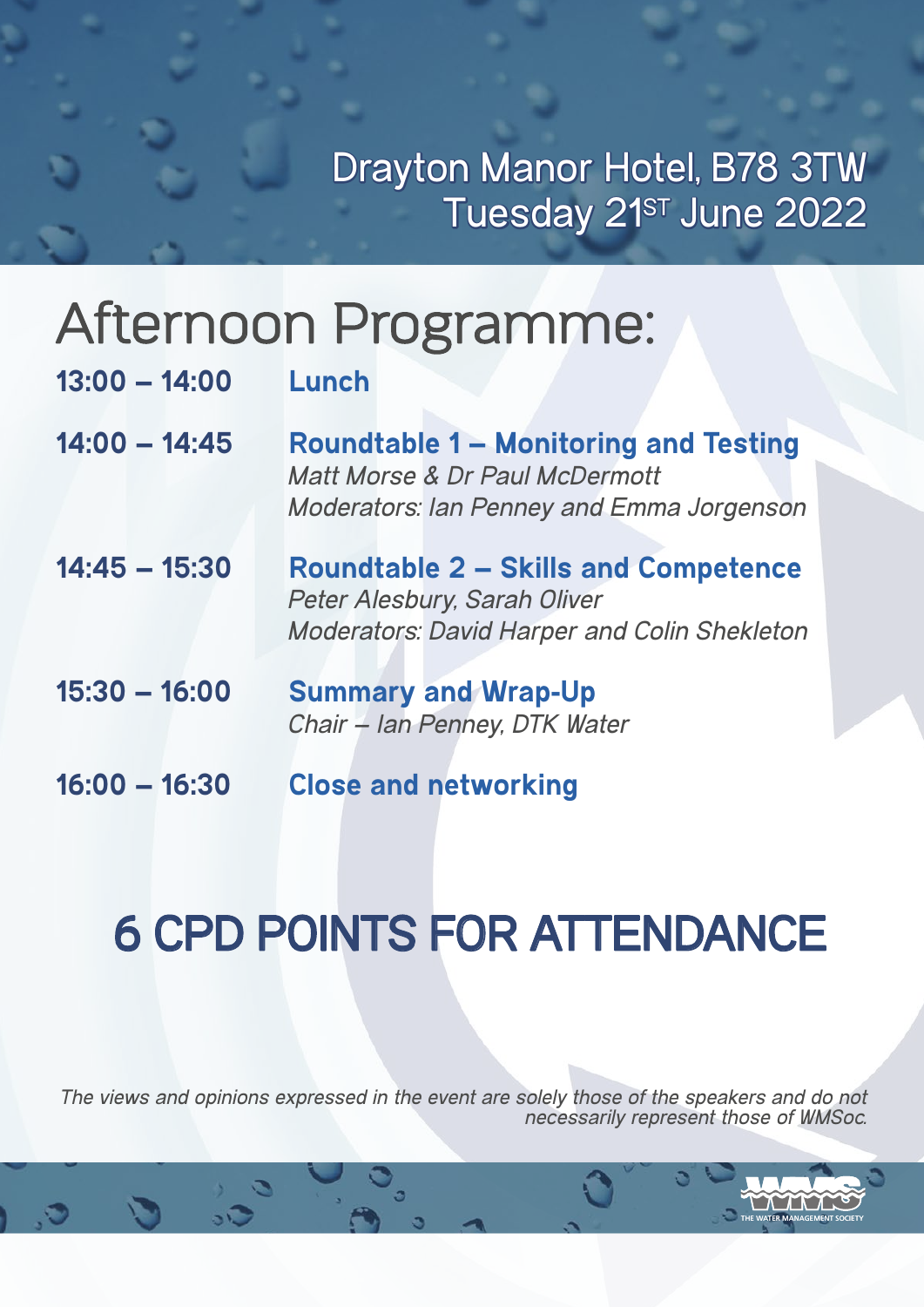Tuesday 21ST June 2022 Drayton Manor Hotel, B78 3TW

### Afternoon Programme:

| <u> 13:00 – 14:00</u> | Lunch                                                                                                                              |
|-----------------------|------------------------------------------------------------------------------------------------------------------------------------|
| $14:00 - 14:45$       | <b>Roundtable 1 - Monitoring and Testing</b><br>Matt Morse & Dr Paul McDermott<br><b>Moderators: Ian Penney and Emma Jorgenson</b> |
| $14:45 - 15:30$       | <b>Roundtable 2 – Skills and Competence</b><br>Peter Alesbury, Sarah Oliver<br><b>Moderators: David Harper and Colin Shekleton</b> |
| $15:30 - 16:00$       | <b>Summary and Wrap-Up</b><br>Chair - Ian Penney, DTK Water                                                                        |
| $16:00 - 16:30$       | <b>Close and networking</b>                                                                                                        |

#### 6 CPD POINTS FOR ATTENDANCE

*The views and opinions expressed in the event are solely those of the speakers and do not necessarily represent those of WMSoc.*

THE WATER MANAGEMENT SOCIETY